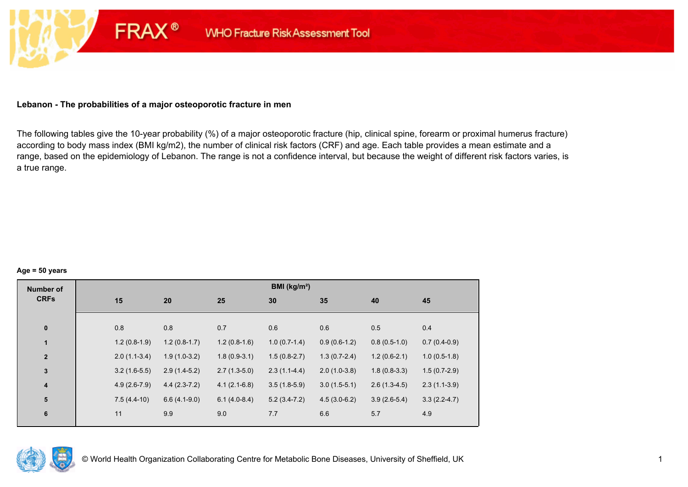## **Lebanon - The probabilities of a major osteoporotic fracture in men**

**FRAX®** 

The following tables give the 10-year probability (%) of a major osteoporotic fracture (hip, clinical spine, forearm or proximal humerus fracture) according to body mass index (BMI kg/m2), the number of clinical risk factors (CRF) and age. Each table provides a mean estimate and a range, based on the epidemiology of Lebanon. The range is not a confidence interval, but because the weight of different risk factors varies, is a true range.

#### **Age = 50 years**

| <b>Number of</b>        |     |                |                |                | BMI (kg/m <sup>2</sup> ) |                |                |                |
|-------------------------|-----|----------------|----------------|----------------|--------------------------|----------------|----------------|----------------|
| <b>CRFs</b>             | 15  |                | 20             | 25             | 30                       | 35             | 40             | 45             |
|                         |     |                |                |                |                          |                |                |                |
| $\pmb{0}$               | 0.8 |                | 0.8            | 0.7            | 0.6                      | 0.6            | 0.5            | 0.4            |
| $\mathbf{1}$            |     | $1.2(0.8-1.9)$ | $1.2(0.8-1.7)$ | $1.2(0.8-1.6)$ | $1.0(0.7-1.4)$           | $0.9(0.6-1.2)$ | $0.8(0.5-1.0)$ | $0.7(0.4-0.9)$ |
| $\mathbf{2}$            |     | $2.0(1.1-3.4)$ | $1.9(1.0-3.2)$ | $1.8(0.9-3.1)$ | $1.5(0.8-2.7)$           | $1.3(0.7-2.4)$ | $1.2(0.6-2.1)$ | $1.0(0.5-1.8)$ |
| $\mathbf 3$             |     | $3.2(1.6-5.5)$ | $2.9(1.4-5.2)$ | $2.7(1.3-5.0)$ | $2.3(1.1-4.4)$           | $2.0(1.0-3.8)$ | $1.8(0.8-3.3)$ | $1.5(0.7-2.9)$ |
| $\overline{\mathbf{4}}$ |     | $4.9(2.6-7.9)$ | $4.4(2.3-7.2)$ | $4.1(2.1-6.8)$ | $3.5(1.8-5.9)$           | $3.0(1.5-5.1)$ | $2.6(1.3-4.5)$ | $2.3(1.1-3.9)$ |
| 5                       |     | $7.5(4.4-10)$  | $6.6(4.1-9.0)$ | $6.1(4.0-8.4)$ | $5.2(3.4-7.2)$           | $4.5(3.0-6.2)$ | $3.9(2.6-5.4)$ | $3.3(2.2-4.7)$ |
| $\bf 6$                 | 11  |                | 9.9            | 9.0            | 7.7                      | 6.6            | 5.7            | 4.9            |

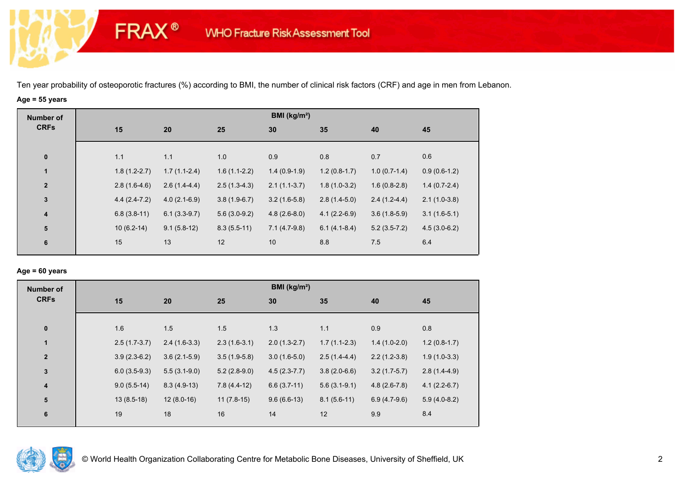# **Age = 55 years**

**FRAX®** 

| <b>Number of</b><br><b>CRFs</b> |                |                |                | BMI ( $kg/m2$ ) |                |                |                |
|---------------------------------|----------------|----------------|----------------|-----------------|----------------|----------------|----------------|
|                                 | 15             | 20             | 25             | 30              | 35             | 40             | 45             |
|                                 |                |                |                |                 |                |                |                |
| $\mathbf 0$                     | 1.1            | 1.1            | 1.0            | 0.9             | 0.8            | 0.7            | 0.6            |
| $\mathbf{1}$                    | $1.8(1.2-2.7)$ | $1.7(1.1-2.4)$ | $1.6(1.1-2.2)$ | $1.4(0.9-1.9)$  | $1.2(0.8-1.7)$ | $1.0(0.7-1.4)$ | $0.9(0.6-1.2)$ |
| $\mathbf{2}$                    | $2.8(1.6-4.6)$ | $2.6(1.4-4.4)$ | $2.5(1.3-4.3)$ | $2.1(1.1-3.7)$  | $1.8(1.0-3.2)$ | $1.6(0.8-2.8)$ | $1.4(0.7-2.4)$ |
| $\mathbf 3$                     | $4.4(2.4-7.2)$ | $4.0(2.1-6.9)$ | $3.8(1.9-6.7)$ | $3.2(1.6-5.8)$  | $2.8(1.4-5.0)$ | $2.4(1.2-4.4)$ | $2.1(1.0-3.8)$ |
| $\boldsymbol{4}$                | $6.8(3.8-11)$  | $6.1(3.3-9.7)$ | $5.6(3.0-9.2)$ | $4.8(2.6-8.0)$  | $4.1(2.2-6.9)$ | $3.6(1.8-5.9)$ | $3.1(1.6-5.1)$ |
| ${\bf 5}$                       | $10(6.2-14)$   | $9.1(5.8-12)$  | $8.3(5.5-11)$  | $7.1(4.7-9.8)$  | $6.1(4.1-8.4)$ | $5.2(3.5-7.2)$ | $4.5(3.0-6.2)$ |
| 6                               | 15             | 13             | 12             | 10              | 8.8            | 7.5            | 6.4            |
|                                 |                |                |                |                 |                |                |                |

## **Age = 60 years**

| <b>Number of</b>        |                |                |                | BMI ( $kg/m2$ ) |                |                |                |
|-------------------------|----------------|----------------|----------------|-----------------|----------------|----------------|----------------|
| <b>CRFs</b>             | 15             | 20             | 25             | 30              | 35             | 40             | 45             |
|                         |                |                |                |                 |                |                |                |
| $\mathbf 0$             | 1.6            | 1.5            | 1.5            | 1.3             | 1.1            | 0.9            | 0.8            |
| $\mathbf{1}$            | $2.5(1.7-3.7)$ | $2.4(1.6-3.3)$ | $2.3(1.6-3.1)$ | $2.0(1.3-2.7)$  | $1.7(1.1-2.3)$ | $1.4(1.0-2.0)$ | $1.2(0.8-1.7)$ |
| $\overline{\mathbf{2}}$ | $3.9(2.3-6.2)$ | $3.6(2.1-5.9)$ | $3.5(1.9-5.8)$ | $3.0(1.6-5.0)$  | $2.5(1.4-4.4)$ | $2.2(1.2-3.8)$ | $1.9(1.0-3.3)$ |
| $\mathbf 3$             | $6.0(3.5-9.3)$ | $5.5(3.1-9.0)$ | $5.2(2.8-9.0)$ | $4.5(2.3-7.7)$  | $3.8(2.0-6.6)$ | $3.2(1.7-5.7)$ | $2.8(1.4-4.9)$ |
| $\boldsymbol{4}$        | $9.0(5.5-14)$  | $8.3(4.9-13)$  | $7.8(4.4-12)$  | $6.6(3.7-11)$   | $5.6(3.1-9.1)$ | $4.8(2.6-7.8)$ | $4.1(2.2-6.7)$ |
| 5                       | $13(8.5-18)$   | $12(8.0-16)$   | $11(7.8-15)$   | $9.6(6.6-13)$   | $8.1(5.6-11)$  | $6.9(4.7-9.6)$ | $5.9(4.0-8.2)$ |
| 6                       | 19             | $18$           | 16             | 14              | 12             | 9.9            | 8.4            |

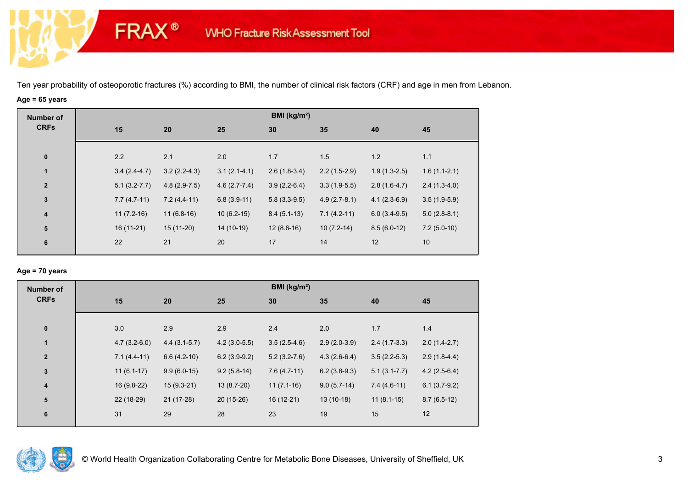# **Age = 65 years**

**FRAX®** 

| <b>Number of</b><br><b>CRFs</b> |                  |                |                | BMI (kg/m <sup>2</sup> ) |                |                |                |
|---------------------------------|------------------|----------------|----------------|--------------------------|----------------|----------------|----------------|
|                                 | 15               | 20             | 25             | 30                       | 35             | 40             | 45             |
|                                 |                  |                |                |                          |                |                |                |
| $\bf{0}$                        | 2.2              | 2.1            | 2.0            | 1.7                      | 1.5            | 1.2            | 1.1            |
| $\mathbf{1}$                    | $3.4(2.4-4.7)$   | $3.2(2.2-4.3)$ | $3.1(2.1-4.1)$ | $2.6(1.8-3.4)$           | $2.2(1.5-2.9)$ | $1.9(1.3-2.5)$ | $1.6(1.1-2.1)$ |
| $\overline{\mathbf{2}}$         | $5.1(3.2 - 7.7)$ | $4.8(2.9-7.5)$ | $4.6(2.7-7.4)$ | $3.9(2.2-6.4)$           | $3.3(1.9-5.5)$ | $2.8(1.6-4.7)$ | $2.4(1.3-4.0)$ |
| $\mathbf{3}$                    | $7.7(4.7-11)$    | $7.2(4.4-11)$  | $6.8(3.9-11)$  | $5.8(3.3-9.5)$           | $4.9(2.7-8.1)$ | $4.1(2.3-6.9)$ | $3.5(1.9-5.9)$ |
| $\overline{4}$                  | $11(7.2-16)$     | $11(6.8-16)$   | $10(6.2-15)$   | $8.4(5.1-13)$            | $7.1(4.2-11)$  | $6.0(3.4-9.5)$ | $5.0(2.8-8.1)$ |
| $5\phantom{1}$                  | $16(11-21)$      | $15(11-20)$    | 14 (10-19)     | $12(8.6-16)$             | $10(7.2-14)$   | $8.5(6.0-12)$  | $7.2(5.0-10)$  |
| 6                               | 22               | 21             | 20             | 17                       | 14             | 12             | 10             |
|                                 |                  |                |                |                          |                |                |                |

## **Age = 70 years**

| <b>Number of</b> |                |                |                | BMI ( $kg/m2$ )  |                |                  |                |
|------------------|----------------|----------------|----------------|------------------|----------------|------------------|----------------|
| <b>CRFs</b>      | 15             | 20             | 25             | 30               | 35             | 40               | 45             |
|                  |                |                |                |                  |                |                  |                |
| $\bf{0}$         | 3.0            | 2.9            | 2.9            | 2.4              | 2.0            | 1.7              | 1.4            |
| $\mathbf{1}$     | $4.7(3.2-6.0)$ | $4.4(3.1-5.7)$ | $4.2(3.0-5.5)$ | $3.5(2.5-4.6)$   | $2.9(2.0-3.9)$ | $2.4(1.7-3.3)$   | $2.0(1.4-2.7)$ |
| $\mathbf{2}$     | $7.1(4.4-11)$  | $6.6(4.2-10)$  | $6.2(3.9-9.2)$ | $5.2(3.2 - 7.6)$ | $4.3(2.6-6.4)$ | $3.5(2.2-5.3)$   | $2.9(1.8-4.4)$ |
| $\mathbf{3}$     | $11(6.1-17)$   | $9.9(6.0-15)$  | $9.2(5.8-14)$  | $7.6(4.7-11)$    | $6.2(3.8-9.3)$ | $5.1(3.1 - 7.7)$ | $4.2(2.5-6.4)$ |
| $\boldsymbol{4}$ | 16 (9.8-22)    | $15(9.3-21)$   | $13(8.7-20)$   | $11(7.1-16)$     | $9.0(5.7-14)$  | $7.4(4.6-11)$    | $6.1(3.7-9.2)$ |
| 5                | 22 (18-29)     | 21 (17-28)     | $20(15-26)$    | $16(12-21)$      | $13(10-18)$    | $11(8.1-15)$     | $8.7(6.5-12)$  |
| 6                | 31             | 29             | 28             | 23               | 19             | 15               | 12             |
|                  |                |                |                |                  |                |                  |                |

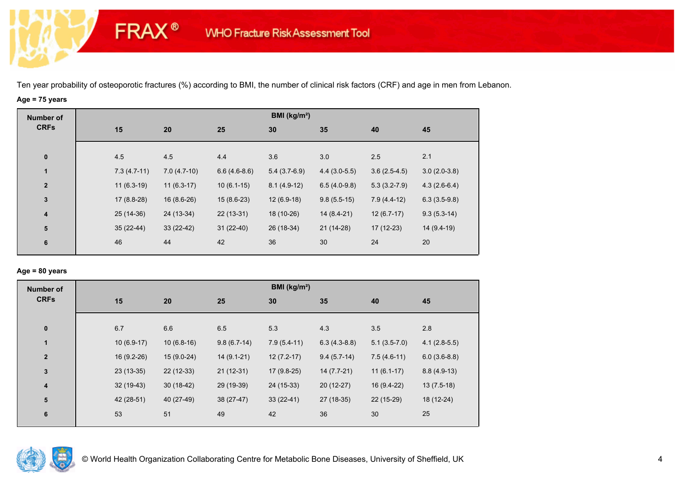# **Age = 75 years**

**FRAX®** 

| <b>Number of</b>        |             |                                |                | BMI (kg/m <sup>2</sup> ) |                |                  |                |
|-------------------------|-------------|--------------------------------|----------------|--------------------------|----------------|------------------|----------------|
| <b>CRFs</b>             | 15          | 20                             | 25             | 30                       | 35             | 40               | 45             |
| $\bf{0}$                | 4.5         | 4.5                            | 4.4            | 3.6                      | 3.0            | 2.5              | 2.1            |
| $\mathbf{1}$            |             | $7.3(4.7-11)$<br>$7.0(4.7-10)$ | $6.6(4.6-8.6)$ | $5.4(3.7-6.9)$           | $4.4(3.0-5.5)$ | $3.6(2.5-4.5)$   | $3.0(2.0-3.8)$ |
| $\mathbf{2}$            |             | $11(6.3-19)$<br>$11(6.3-17)$   | $10(6.1-15)$   | $8.1(4.9-12)$            | $6.5(4.0-9.8)$ | $5.3(3.2 - 7.9)$ | $4.3(2.6-6.4)$ |
| $\mathbf{3}$            |             | $17(8.8-28)$<br>$16(8.6-26)$   | $15(8.6-23)$   | $12(6.9-18)$             | $9.8(5.5-15)$  | $7.9(4.4-12)$    | $6.3(3.5-9.8)$ |
| $\overline{\mathbf{4}}$ | $25(14-36)$ | 24 (13-34)                     | $22(13-31)$    | 18 (10-26)               | 14 (8.4-21)    | $12(6.7-17)$     | $9.3(5.3-14)$  |
| ${\bf 5}$               | $35(22-44)$ | $33(22-42)$                    | $31(22-40)$    | 26 (18-34)               | 21 (14-28)     | $17(12-23)$      | 14 (9.4-19)    |
| 6                       | 46          | 44                             | 42             | 36                       | 30             | 24               | 20             |

## **Age = 80 years**

| <b>Number of</b> |              |              |               | BMI ( $kg/m2$ ) |                |                |                |
|------------------|--------------|--------------|---------------|-----------------|----------------|----------------|----------------|
| <b>CRFs</b>      | 15           | 20           | 25            | 30              | 35             | 40             | 45             |
|                  |              |              |               |                 |                |                |                |
| $\bf{0}$         | 6.7          | 6.6          | 6.5           | 5.3             | 4.3            | 3.5            | 2.8            |
| $\mathbf{1}$     | $10(6.9-17)$ | $10(6.8-16)$ | $9.8(6.7-14)$ | $7.9(5.4-11)$   | $6.3(4.3-8.8)$ | $5.1(3.5-7.0)$ | $4.1(2.8-5.5)$ |
| $\mathbf{2}$     | 16 (9.2-26)  | $15(9.0-24)$ | $14(9.1-21)$  | $12(7.2-17)$    | $9.4(5.7-14)$  | $7.5(4.6-11)$  | $6.0(3.6-8.8)$ |
| $\mathbf{3}$     | $23(13-35)$  | $22(12-33)$  | $21(12-31)$   | $17(9.8-25)$    | 14 (7.7-21)    | $11(6.1-17)$   | $8.8(4.9-13)$  |
| 4                | $32(19-43)$  | $30(18-42)$  | 29 (19-39)    | 24 (15-33)      | $20(12-27)$    | 16 (9.4-22)    | $13(7.5-18)$   |
| 5                | 42 (28-51)   | 40 (27-49)   | 38 (27-47)    | $33(22-41)$     | 27 (18-35)     | 22 (15-29)     | 18 (12-24)     |
| 6                | 53           | 51           | 49            | 42              | 36             | 30             | 25             |
|                  |              |              |               |                 |                |                |                |